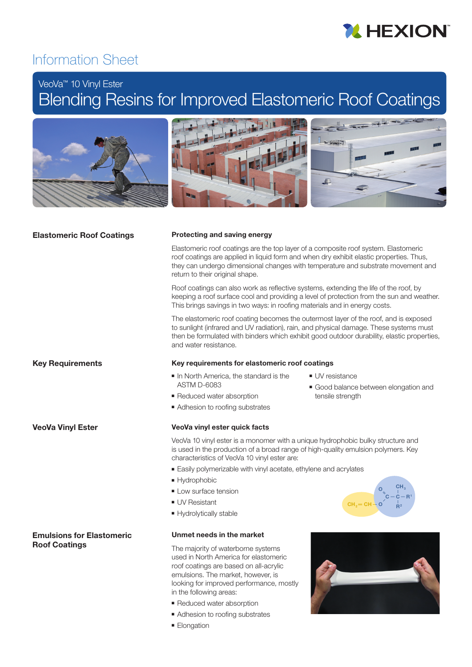

# Information Sheet

# VeoVa™ 10 Vinyl Ester

# Blending Resins for Improved Elastomeric Roof Coatings



# Elastomeric Roof Coatings

# Protecting and saving energy

Elastomeric roof coatings are the top layer of a composite roof system. Elastomeric roof coatings are applied in liquid form and when dry exhibit elastic properties. Thus, they can undergo dimensional changes with temperature and substrate movement and return to their original shape.

Roof coatings can also work as reflective systems, extending the life of the roof, by keeping a roof surface cool and providing a level of protection from the sun and weather. This brings savings in two ways: in roofing materials and in energy costs.

The elastomeric roof coating becomes the outermost layer of the roof, and is exposed to sunlight (infrared and UV radiation), rain, and physical damage. These systems must then be formulated with binders which exhibit good outdoor durability, elastic properties, and water resistance.

■ UV resistance

tensile strength

# **Key Requirements**

VeoVa Vinyl Ester

Emulsions for Elastomeric

Roof Coatings

# Key requirements for elastomeric roof coatings

- In North America, the standard is the ASTM D-6083
- Reduced water absorption
- Adhesion to roofing substrates

### VeoVa vinyl ester quick facts

- VeoVa 10 vinyl ester is a monomer with a unique hydrophobic bulky structure and is used in the production of a broad range of high-quality emulsion polymers. Key characteristics of VeoVa 10 vinyl ester are:
- Easily polymerizable with vinyl acetate, ethylene and acrylates
- Hydrophobic
- Low surface tension
- UV Resistant
- Hydrolytically stable

# Unmet needs in the market

The majority of waterborne systems used in North America for elastomeric roof coatings are based on all-acrylic emulsions. The market, however, is looking for improved performance, mostly in the following areas:

- Reduced water absorption
- Adhesion to roofing substrates
- Elongation



■ Good balance between elongation and